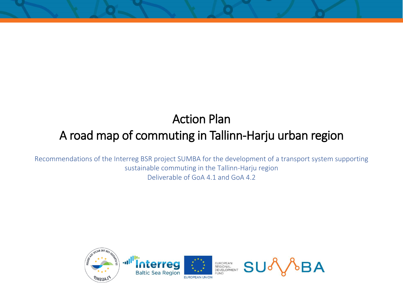## Action Plan

## A road map of commuting in Tallinn-Harju urban region

Recommendations of the Interreg BSR project SUMBA for the development of a transport system supporting sustainable commuting in the Tallinn-Harju region Deliverable of GoA 4.1 and GoA 4.2

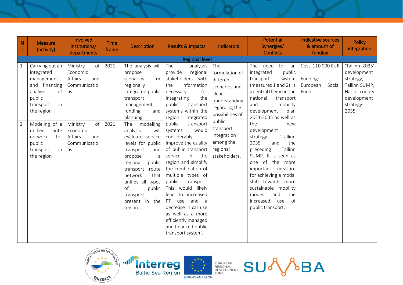| N<br>$\bullet$                 | <b>Measure</b><br>(activity)                                                                                                               | Involved<br>institutions/<br>departments                                             | <b>Time</b><br>frame | <b>Description</b>                                                                                                                                                                                                                          | <b>Results &amp; Impacts</b>                                                                                                                                                                                                                                                                                                                                                          | Indicators                                                                                                                                | <b>Potential</b><br>Synergies/<br><b>Conflicts</b>                                                                                                                                                                                                                                             | Indicative sources<br>& amount of<br>funding                | <b>Policy</b><br>integration                                                                                      |
|--------------------------------|--------------------------------------------------------------------------------------------------------------------------------------------|--------------------------------------------------------------------------------------|----------------------|---------------------------------------------------------------------------------------------------------------------------------------------------------------------------------------------------------------------------------------------|---------------------------------------------------------------------------------------------------------------------------------------------------------------------------------------------------------------------------------------------------------------------------------------------------------------------------------------------------------------------------------------|-------------------------------------------------------------------------------------------------------------------------------------------|------------------------------------------------------------------------------------------------------------------------------------------------------------------------------------------------------------------------------------------------------------------------------------------------|-------------------------------------------------------------|-------------------------------------------------------------------------------------------------------------------|
|                                |                                                                                                                                            |                                                                                      |                      |                                                                                                                                                                                                                                             | <b>Regional level</b>                                                                                                                                                                                                                                                                                                                                                                 |                                                                                                                                           |                                                                                                                                                                                                                                                                                                |                                                             |                                                                                                                   |
| $\mathbf{1}$<br>$\overline{2}$ | Carrying out an<br>integrated<br>management<br>and financing<br>analysis<br>of<br>public<br>in<br>transport<br>the region<br>Modeling of a | of<br>Ministry<br>Economic<br>Affairs<br>and<br>Communicatio<br>ns<br>of<br>Ministry | 2021<br>2021         | The analysis will<br>propose<br>scenarios<br>for<br>regionally<br>integrated public<br>transport<br>management,<br>funding<br>and<br>planning.<br>modelling<br>The                                                                          | The<br>analyses<br>provide<br>regional<br>stakeholders with<br>the<br>information<br>for<br>necessary<br>the<br>integrating<br>public<br>transport<br>systems within the<br>region. Integrated<br>public<br>transport                                                                                                                                                                 | The<br>formulation of<br>different<br>scenarios and<br>clear<br>understanding<br>regarding the<br>possibilities of<br>public<br>transport | The need<br>for<br>an<br>public<br>integrated<br>transport<br>system<br>(measures 1 and 2) is<br>a central theme in the<br>national<br>transport<br>mobility<br>and<br>development<br>plan<br>2021-2035 as well as<br>the<br>new                                                               | Cost: 110 000 EUR<br>Funding:<br>European<br>Social<br>Fund | 'Tallinn 2035'<br>development<br>strategy,<br>Tallinn SUMP,<br>Harju county<br>development<br>strategy<br>$2035+$ |
|                                | unified<br>route<br>network<br>for<br>public<br>in  <br>transport<br>the region                                                            | Economic<br>Affairs<br>and<br>Communicatio<br>ns                                     |                      | analysis<br>will<br>evaluate service<br>levels for public<br>transport<br>and<br>propose<br>a<br>public<br>regional<br>transport<br>route<br>network<br>that<br>unifies all types<br>of<br>public<br>transport<br>present in the<br>region. | would<br>systems<br>considerably<br>improve the quality<br>of public transport<br>service<br>the<br>in<br>region and simplify<br>the combination of<br>multiple types of<br>public<br>transport.<br>This would likely<br>lead<br>to increased<br>and<br>PT<br>use<br>a<br>decrease in car use<br>as well as a more<br>efficiently managed<br>and financed public<br>transport system. | integration<br>among the<br>regional<br>stakeholders.                                                                                     | development<br>"Tallinn<br>strategy<br>2035"<br>the<br>and<br>preceding<br>Tallinn<br>SUMP. It is seen as<br>one of the more<br>important measure<br>for achieving a modal<br>shift towards more<br>sustainable mobility<br>modes<br>and<br>the<br>increased<br>of<br>use<br>public transport. |                                                             |                                                                                                                   |